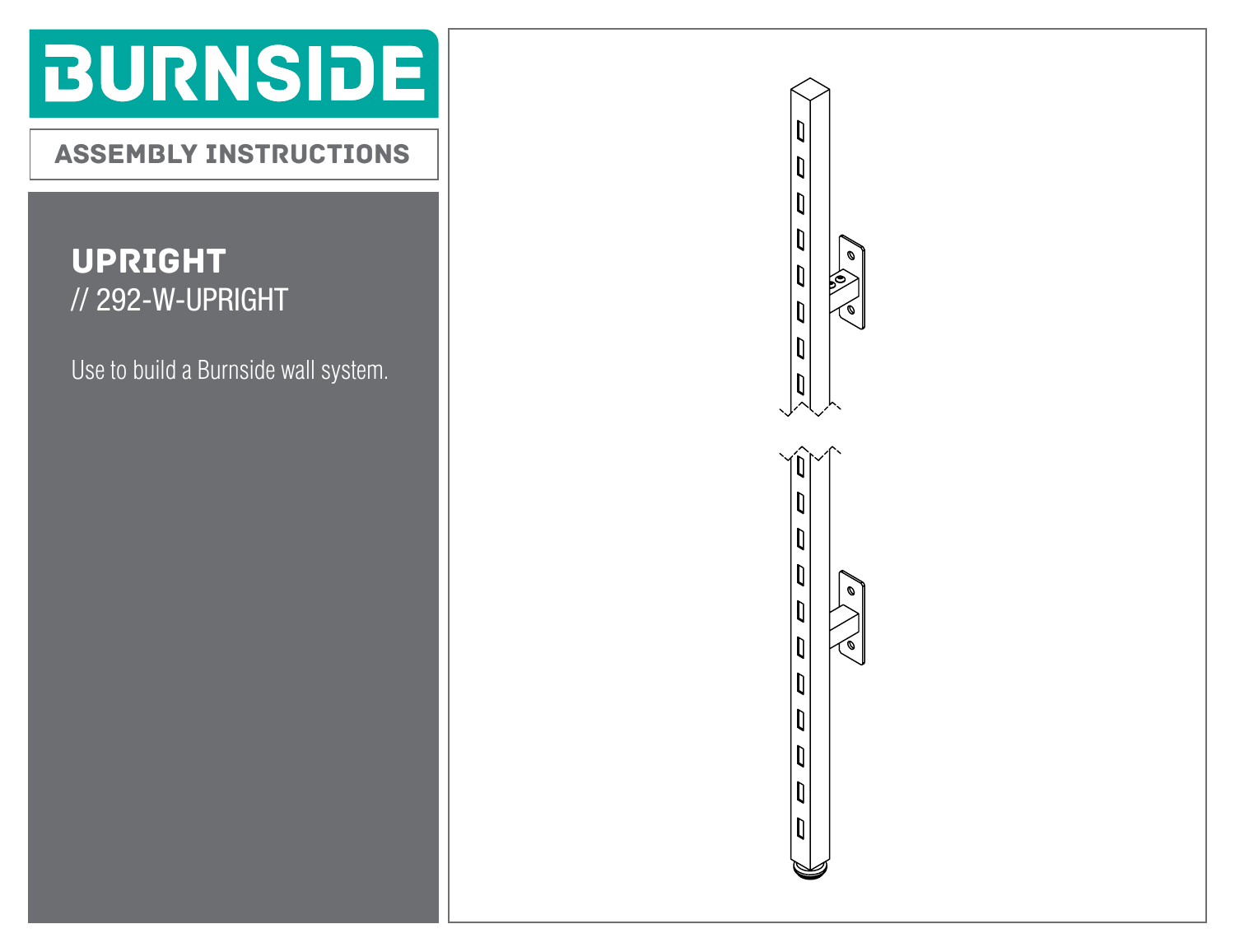# **BURNSIDE**

ASSEMBLY INSTRUCTIONS

#### UPRIGHT // 292-W-UPRIGHT

Use to build a Burnside wall system.

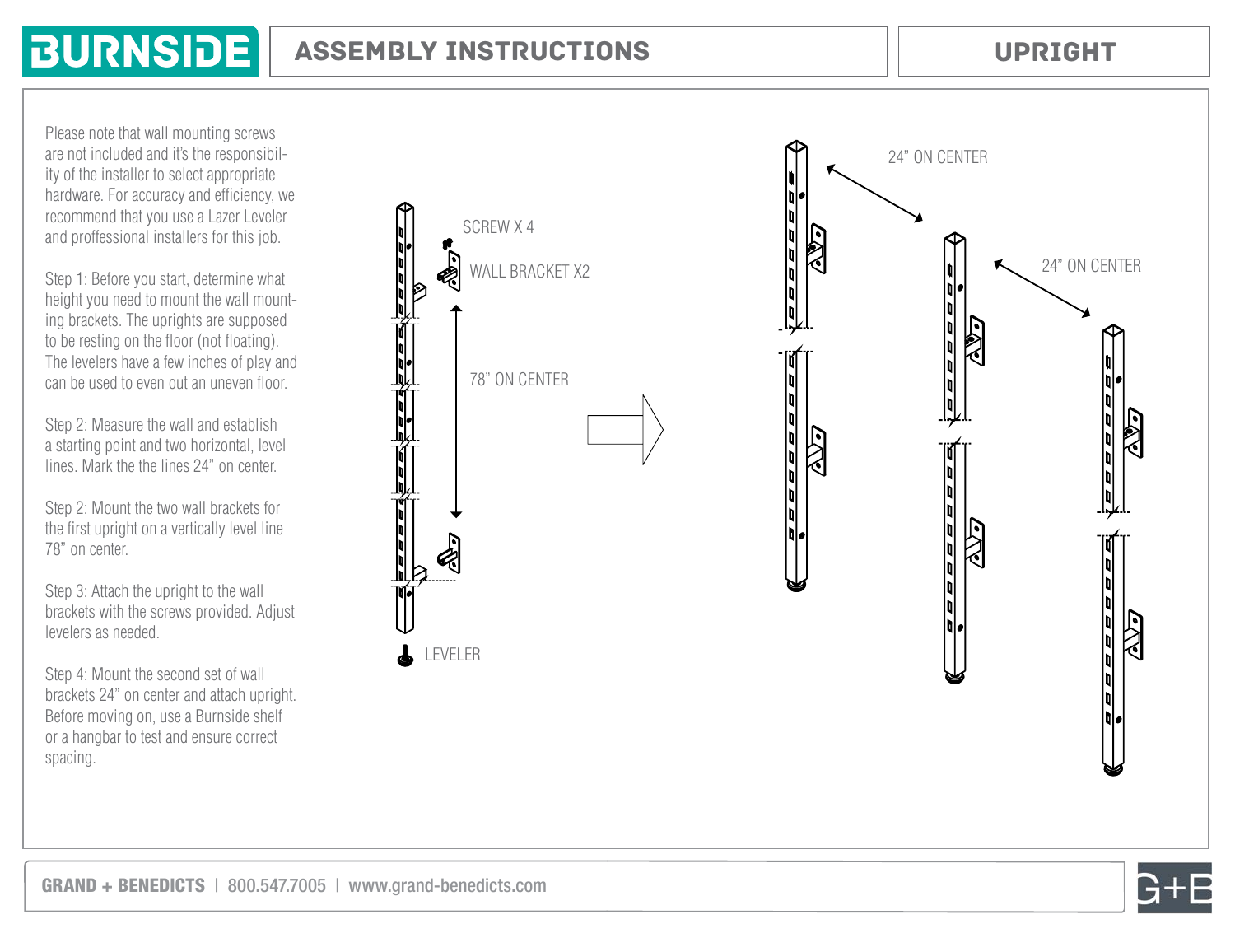### **BURNSIDE**

#### ASSEMBLY INSTRUCTIONS

UPRIGHT

Please note that wall mounting screws are not included and it's the responsibil ity of the installer to select appropriate hardware. For accuracy and efficiency, we recommend that you use a Lazer Leveler and proffessional installers for this job.

Step 1: Before you start, determine what height you need to mount the wall mount ing brackets. The uprights are supposed to be resting on the floor (not floating). The levelers have a few inches of play and can be used to even out an uneven floor.

Step 2: Measure the wall and establish a starting point and two horizontal, level lines. Mark the the lines 24" on center.

Step 2: Mount the two wall brackets for the first upright on a vertically level line 78" on center.

Step 3: Attach the upright to the wall brackets with the screws provided. Adjust levelers as needed.

Step 4: Mount the second set of wall brackets 24" on center and attach upright. Before moving on, use a Burnside shelf or a hangbar to test and ensure correct spacing.